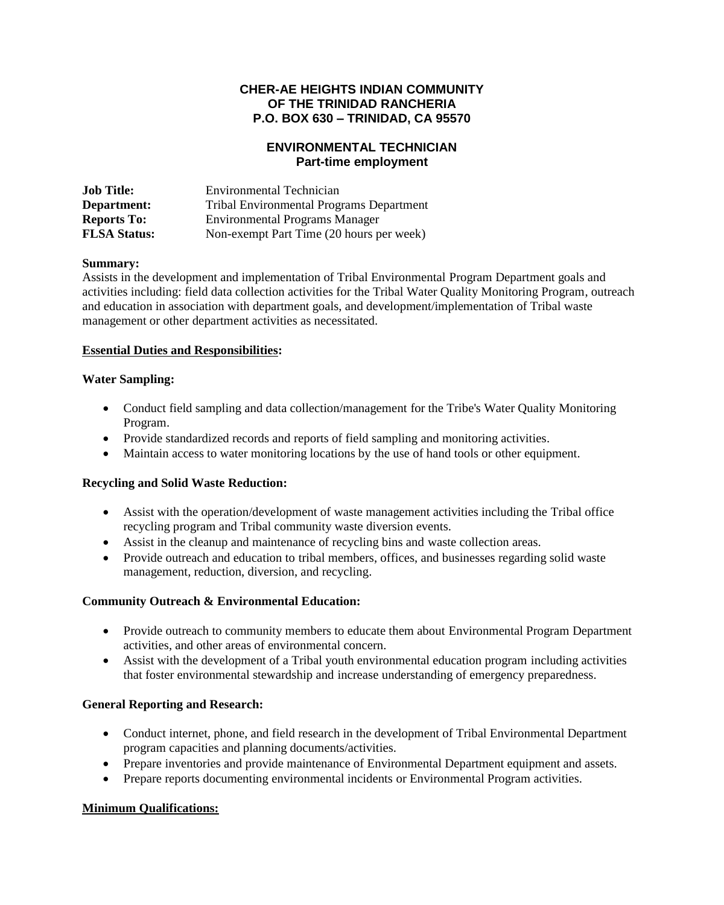# **CHER-AE HEIGHTS INDIAN COMMUNITY OF THE TRINIDAD RANCHERIA P.O. BOX 630 – TRINIDAD, CA 95570**

# **ENVIRONMENTAL TECHNICIAN Part-time employment**

| <b>Job Title:</b>   | Environmental Technician                        |
|---------------------|-------------------------------------------------|
| Department:         | <b>Tribal Environmental Programs Department</b> |
| <b>Reports To:</b>  | <b>Environmental Programs Manager</b>           |
| <b>FLSA Status:</b> | Non-exempt Part Time (20 hours per week)        |

#### **Summary:**

Assists in the development and implementation of Tribal Environmental Program Department goals and activities including: field data collection activities for the Tribal Water Quality Monitoring Program, outreach and education in association with department goals, and development/implementation of Tribal waste management or other department activities as necessitated.

## **Essential Duties and Responsibilities:**

#### **Water Sampling:**

- Conduct field sampling and data collection/management for the Tribe's Water Quality Monitoring Program.
- Provide standardized records and reports of field sampling and monitoring activities.
- Maintain access to water monitoring locations by the use of hand tools or other equipment.

#### **Recycling and Solid Waste Reduction:**

- Assist with the operation/development of waste management activities including the Tribal office recycling program and Tribal community waste diversion events.
- Assist in the cleanup and maintenance of recycling bins and waste collection areas.
- Provide outreach and education to tribal members, offices, and businesses regarding solid waste management, reduction, diversion, and recycling.

## **Community Outreach & Environmental Education:**

- Provide outreach to community members to educate them about Environmental Program Department activities, and other areas of environmental concern.
- Assist with the development of a Tribal youth environmental education program including activities that foster environmental stewardship and increase understanding of emergency preparedness.

## **General Reporting and Research:**

- Conduct internet, phone, and field research in the development of Tribal Environmental Department program capacities and planning documents/activities.
- Prepare inventories and provide maintenance of Environmental Department equipment and assets.
- Prepare reports documenting environmental incidents or Environmental Program activities.

## **Minimum Qualifications:**